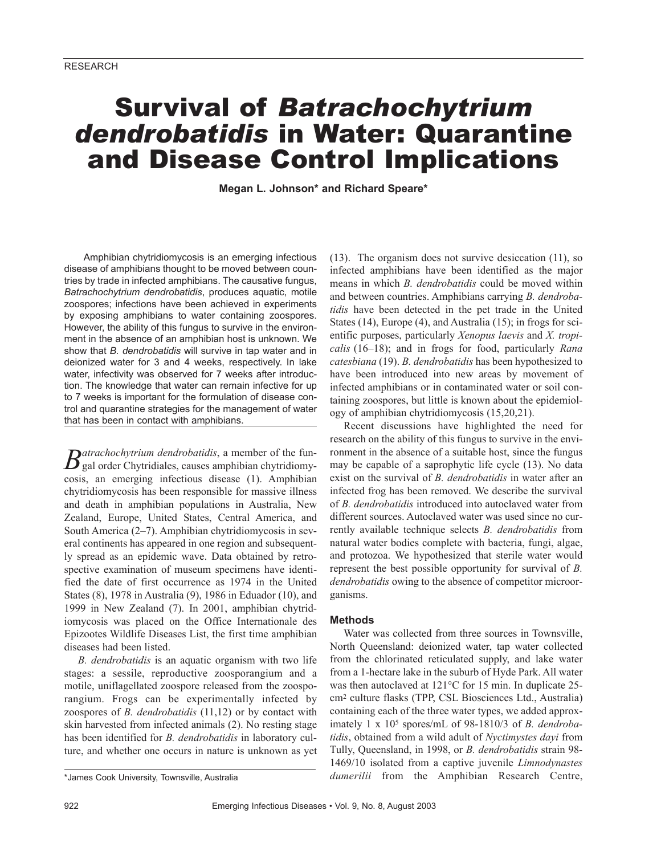# Survival of *Batrachochytrium dendrobatidis* in Water: Quarantine and Disease Control Implications

**Megan L. Johnson\* and Richard Speare\***

Amphibian chytridiomycosis is an emerging infectious disease of amphibians thought to be moved between countries by trade in infected amphibians. The causative fungus, *Batrachochytrium dendrobatidis*, produces aquatic, motile zoospores; infections have been achieved in experiments by exposing amphibians to water containing zoospores. However, the ability of this fungus to survive in the environment in the absence of an amphibian host is unknown. We show that *B. dendrobatidis* will survive in tap water and in deionized water for 3 and 4 weeks, respectively. In lake water, infectivity was observed for 7 weeks after introduction. The knowledge that water can remain infective for up to 7 weeks is important for the formulation of disease control and quarantine strategies for the management of water that has been in contact with amphibians.

 $B$ atrachochytrium dendrobatidis, a member of the fun-<br>gal order Chytridiales, causes amphibian chytridiomycosis, an emerging infectious disease (1). Amphibian chytridiomycosis has been responsible for massive illness and death in amphibian populations in Australia, New Zealand, Europe, United States, Central America, and South America (2–7). Amphibian chytridiomycosis in several continents has appeared in one region and subsequently spread as an epidemic wave. Data obtained by retrospective examination of museum specimens have identified the date of first occurrence as 1974 in the United States (8), 1978 in Australia (9), 1986 in Eduador (10), and 1999 in New Zealand (7). In 2001, amphibian chytridiomycosis was placed on the Office Internationale des Epizootes Wildlife Diseases List, the first time amphibian diseases had been listed.

*B. dendrobatidis* is an aquatic organism with two life stages: a sessile, reproductive zoosporangium and a motile, uniflagellated zoospore released from the zoosporangium. Frogs can be experimentally infected by zoospores of *B. dendrobatidis* (11,12) or by contact with skin harvested from infected animals (2). No resting stage has been identified for *B. dendrobatidis* in laboratory culture, and whether one occurs in nature is unknown as yet (13). The organism does not survive desiccation (11), so infected amphibians have been identified as the major means in which *B. dendrobatidis* could be moved within and between countries. Amphibians carrying *B. dendrobatidis* have been detected in the pet trade in the United States (14), Europe (4), and Australia (15); in frogs for scientific purposes, particularly *Xenopus laevis* and *X. tropicalis* (16–18); and in frogs for food, particularly *Rana catesbiana* (19). *B. dendrobatidis* has been hypothesized to have been introduced into new areas by movement of infected amphibians or in contaminated water or soil containing zoospores, but little is known about the epidemiology of amphibian chytridiomycosis (15,20,21).

Recent discussions have highlighted the need for research on the ability of this fungus to survive in the environment in the absence of a suitable host, since the fungus may be capable of a saprophytic life cycle (13). No data exist on the survival of *B. dendrobatidis* in water after an infected frog has been removed. We describe the survival of *B. dendrobatidis* introduced into autoclaved water from different sources. Autoclaved water was used since no currently available technique selects *B. dendrobatidis* from natural water bodies complete with bacteria, fungi, algae, and protozoa. We hypothesized that sterile water would represent the best possible opportunity for survival of *B. dendrobatidis* owing to the absence of competitor microorganisms.

# **Methods**

Water was collected from three sources in Townsville, North Queensland: deionized water, tap water collected from the chlorinated reticulated supply, and lake water from a 1-hectare lake in the suburb of Hyde Park. All water was then autoclaved at 121°C for 15 min. In duplicate 25 cm2 culture flasks (TPP, CSL Biosciences Ltd., Australia) containing each of the three water types, we added approximately 1 x 105 spores/mL of 98-1810/3 of *B. dendrobatidis*, obtained from a wild adult of *Nyctimystes dayi* from Tully, Queensland, in 1998, or *B. dendrobatidis* strain 98- 1469/10 isolated from a captive juvenile *Limnodynastes dumerilii* from the Amphibian Research Centre,

<sup>\*</sup>James Cook University, Townsville, Australia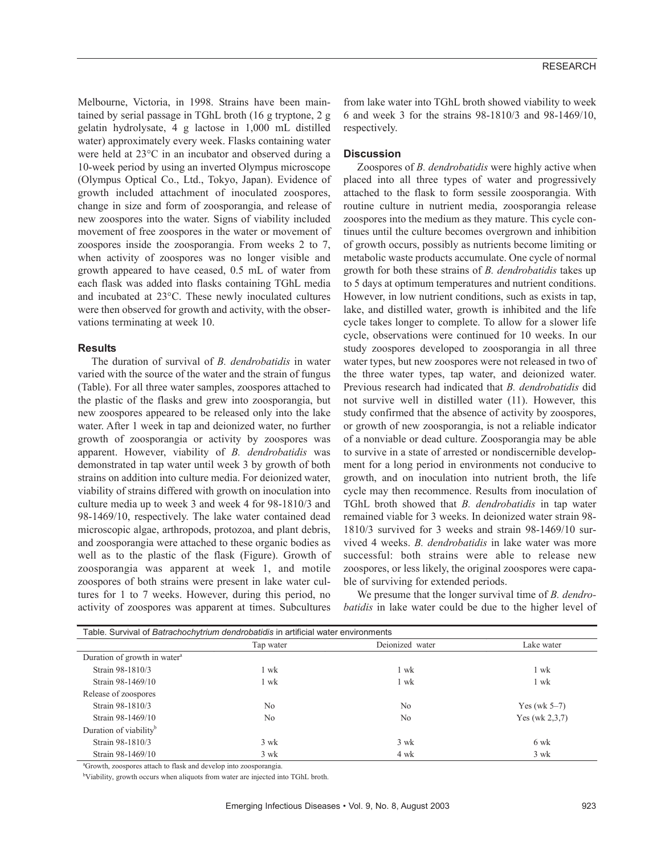Melbourne, Victoria, in 1998. Strains have been maintained by serial passage in TGhL broth (16 g tryptone, 2 g gelatin hydrolysate, 4 g lactose in 1,000 mL distilled water) approximately every week. Flasks containing water were held at 23°C in an incubator and observed during a 10-week period by using an inverted Olympus microscope (Olympus Optical Co., Ltd., Tokyo, Japan). Evidence of growth included attachment of inoculated zoospores, change in size and form of zoosporangia, and release of new zoospores into the water. Signs of viability included movement of free zoospores in the water or movement of zoospores inside the zoosporangia. From weeks 2 to 7, when activity of zoospores was no longer visible and growth appeared to have ceased, 0.5 mL of water from each flask was added into flasks containing TGhL media and incubated at 23°C. These newly inoculated cultures were then observed for growth and activity, with the observations terminating at week 10.

# **Results**

The duration of survival of *B. dendrobatidis* in water varied with the source of the water and the strain of fungus (Table). For all three water samples, zoospores attached to the plastic of the flasks and grew into zoosporangia, but new zoospores appeared to be released only into the lake water. After 1 week in tap and deionized water, no further growth of zoosporangia or activity by zoospores was apparent. However, viability of *B. dendrobatidis* was demonstrated in tap water until week 3 by growth of both strains on addition into culture media. For deionized water, viability of strains differed with growth on inoculation into culture media up to week 3 and week 4 for 98-1810/3 and 98-1469/10, respectively. The lake water contained dead microscopic algae, arthropods, protozoa, and plant debris, and zoosporangia were attached to these organic bodies as well as to the plastic of the flask (Figure). Growth of zoosporangia was apparent at week 1, and motile zoospores of both strains were present in lake water cultures for 1 to 7 weeks. However, during this period, no activity of zoospores was apparent at times. Subcultures from lake water into TGhL broth showed viability to week 6 and week 3 for the strains 98-1810/3 and 98-1469/10, respectively.

# **Discussion**

Zoospores of *B. dendrobatidis* were highly active when placed into all three types of water and progressively attached to the flask to form sessile zoosporangia. With routine culture in nutrient media, zoosporangia release zoospores into the medium as they mature. This cycle continues until the culture becomes overgrown and inhibition of growth occurs, possibly as nutrients become limiting or metabolic waste products accumulate. One cycle of normal growth for both these strains of *B. dendrobatidis* takes up to 5 days at optimum temperatures and nutrient conditions. However, in low nutrient conditions, such as exists in tap, lake, and distilled water, growth is inhibited and the life cycle takes longer to complete. To allow for a slower life cycle, observations were continued for 10 weeks. In our study zoospores developed to zoosporangia in all three water types, but new zoospores were not released in two of the three water types, tap water, and deionized water. Previous research had indicated that *B. dendrobatidis* did not survive well in distilled water (11). However, this study confirmed that the absence of activity by zoospores, or growth of new zoosporangia, is not a reliable indicator of a nonviable or dead culture. Zoosporangia may be able to survive in a state of arrested or nondiscernible development for a long period in environments not conducive to growth, and on inoculation into nutrient broth, the life cycle may then recommence. Results from inoculation of TGhL broth showed that *B. dendrobatidis* in tap water remained viable for 3 weeks. In deionized water strain 98- 1810/3 survived for 3 weeks and strain 98-1469/10 survived 4 weeks. *B. dendrobatidis* in lake water was more successful: both strains were able to release new zoospores, or less likely, the original zoospores were capable of surviving for extended periods.

We presume that the longer survival time of *B. dendrobatidis* in lake water could be due to the higher level of

| Table. Survival of Batrachochytrium dendrobatidis in artificial water environments |                |                 |                   |
|------------------------------------------------------------------------------------|----------------|-----------------|-------------------|
|                                                                                    | Tap water      | Deionized water | Lake water        |
| Duration of growth in water <sup>a</sup>                                           |                |                 |                   |
| Strain 98-1810/3                                                                   | wk             | 1 wk            | 1 wk              |
| Strain 98-1469/10                                                                  | . wk           | 1 wk            | 1 wk              |
| Release of zoospores                                                               |                |                 |                   |
| Strain 98-1810/3                                                                   | N <sub>0</sub> | N <sub>0</sub>  | Yes (wk $5-7$ )   |
| Strain 98-1469/10                                                                  | N <sub>0</sub> | N <sub>0</sub>  | Yes (wk $2,3,7$ ) |
| Duration of viability <sup>b</sup>                                                 |                |                 |                   |
| Strain 98-1810/3                                                                   | $3 \text{ wk}$ | $3 \text{ wk}$  | 6 wk              |
| Strain 98-1469/10                                                                  | $3 \text{ wk}$ | 4 wk            | 3 wk              |

a Growth, zoospores attach to flask and develop into zoosporangia.

<sup>b</sup>Viability, growth occurs when aliquots from water are injected into TGhL broth.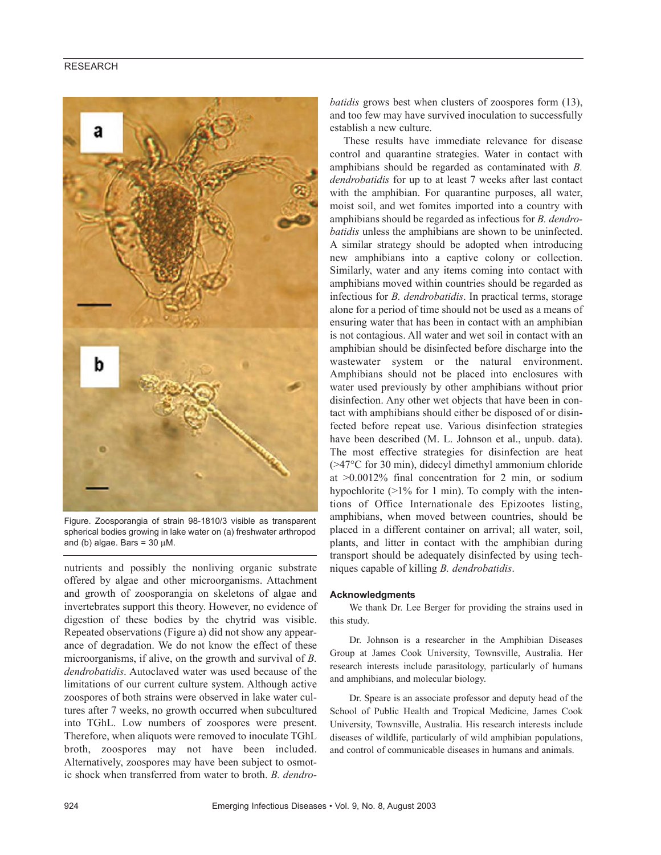# RESEARCH



Figure. Zoosporangia of strain 98-1810/3 visible as transparent spherical bodies growing in lake water on (a) freshwater arthropod and (b) algae. Bars =  $30 \mu M$ .

nutrients and possibly the nonliving organic substrate offered by algae and other microorganisms. Attachment and growth of zoosporangia on skeletons of algae and invertebrates support this theory. However, no evidence of digestion of these bodies by the chytrid was visible. Repeated observations (Figure a) did not show any appearance of degradation. We do not know the effect of these microorganisms, if alive, on the growth and survival of *B. dendrobatidis*. Autoclaved water was used because of the limitations of our current culture system. Although active zoospores of both strains were observed in lake water cultures after 7 weeks, no growth occurred when subcultured into TGhL. Low numbers of zoospores were present. Therefore, when aliquots were removed to inoculate TGhL broth, zoospores may not have been included. Alternatively, zoospores may have been subject to osmotic shock when transferred from water to broth. *B. dendro-*

*batidis* grows best when clusters of zoospores form (13), and too few may have survived inoculation to successfully establish a new culture.

These results have immediate relevance for disease control and quarantine strategies. Water in contact with amphibians should be regarded as contaminated with *B. dendrobatidis* for up to at least 7 weeks after last contact with the amphibian. For quarantine purposes, all water, moist soil, and wet fomites imported into a country with amphibians should be regarded as infectious for *B. dendrobatidis* unless the amphibians are shown to be uninfected. A similar strategy should be adopted when introducing new amphibians into a captive colony or collection. Similarly, water and any items coming into contact with amphibians moved within countries should be regarded as infectious for *B. dendrobatidis*. In practical terms, storage alone for a period of time should not be used as a means of ensuring water that has been in contact with an amphibian is not contagious. All water and wet soil in contact with an amphibian should be disinfected before discharge into the wastewater system or the natural environment. Amphibians should not be placed into enclosures with water used previously by other amphibians without prior disinfection. Any other wet objects that have been in contact with amphibians should either be disposed of or disinfected before repeat use. Various disinfection strategies have been described (M. L. Johnson et al., unpub. data). The most effective strategies for disinfection are heat (>47°C for 30 min), didecyl dimethyl ammonium chloride at >0.0012% final concentration for 2 min, or sodium hypochlorite (>1% for 1 min). To comply with the intentions of Office Internationale des Epizootes listing, amphibians, when moved between countries, should be placed in a different container on arrival; all water, soil, plants, and litter in contact with the amphibian during transport should be adequately disinfected by using techniques capable of killing *B. dendrobatidis*.

#### **Acknowledgments**

We thank Dr. Lee Berger for providing the strains used in this study.

Dr. Johnson is a researcher in the Amphibian Diseases Group at James Cook University, Townsville, Australia. Her research interests include parasitology, particularly of humans and amphibians, and molecular biology.

Dr. Speare is an associate professor and deputy head of the School of Public Health and Tropical Medicine, James Cook University, Townsville, Australia. His research interests include diseases of wildlife, particularly of wild amphibian populations, and control of communicable diseases in humans and animals.